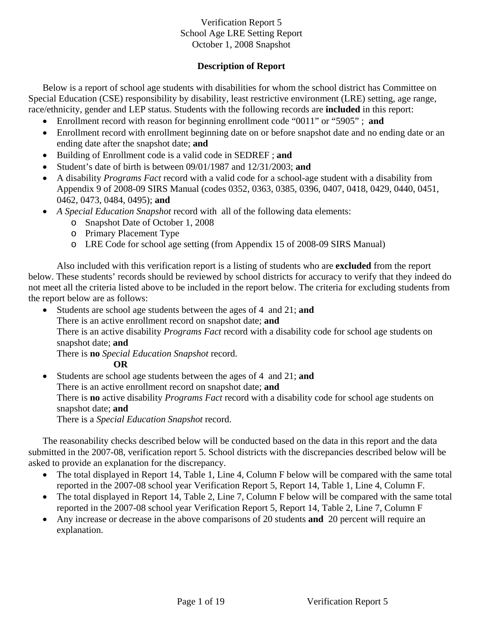## **Description of Report**

Below is a report of school age students with disabilities for whom the school district has Committee on Special Education (CSE) responsibility by disability, least restrictive environment (LRE) setting, age range, race/ethnicity, gender and LEP status. Students with the following records are **included** in this report:

- Enrollment record with reason for beginning enrollment code "0011" or "5905" ; **and**
- Enrollment record with enrollment beginning date on or before snapshot date and no ending date or an ending date after the snapshot date; **and**
- Building of Enrollment code is a valid code in SEDREF ; **and**
- Student's date of birth is between 09/01/1987 and 12/31/2003; **and**
- A disability *Programs Fact* record with a valid code for a school-age student with a disability from Appendix 9 of 2008-09 SIRS Manual (codes 0352, 0363, 0385, 0396, 0407, 0418, 0429, 0440, 0451, 0462, 0473, 0484, 0495); **and**
- *A Special Education Snapshot* record with all of the following data elements:
	- o Snapshot Date of October 1, 2008
	- o Primary Placement Type
	- o LRE Code for school age setting (from Appendix 15 of 2008-09 SIRS Manual)

Also included with this verification report is a listing of students who are **excluded** from the report below. These students' records should be reviewed by school districts for accuracy to verify that they indeed do not meet all the criteria listed above to be included in the report below. The criteria for excluding students from the report below are as follows:

• Students are school age students between the ages of 4 and 21; **and**

There is an active enrollment record on snapshot date; **and** 

There is an active disability *Programs Fact* record with a disability code for school age students on snapshot date; **and** 

There is **no** *Special Education Snapshot* record.

**OR** 

• Students are school age students between the ages of 4 and 21; **and** There is an active enrollment record on snapshot date; **and** There is **no** active disability *Programs Fact* record with a disability code for school age students on snapshot date; **and**  There is a *Special Education Snapshot* record.

The reasonability checks described below will be conducted based on the data in this report and the data submitted in the 2007-08, verification report 5. School districts with the discrepancies described below will be asked to provide an explanation for the discrepancy.

- The total displayed in Report 14, Table 1, Line 4, Column F below will be compared with the same total reported in the 2007-08 school year Verification Report 5, Report 14, Table 1, Line 4, Column F.
- The total displayed in Report 14, Table 2, Line 7, Column F below will be compared with the same total reported in the 2007-08 school year Verification Report 5, Report 14, Table 2, Line 7, Column F
- Any increase or decrease in the above comparisons of 20 students **and** 20 percent will require an explanation.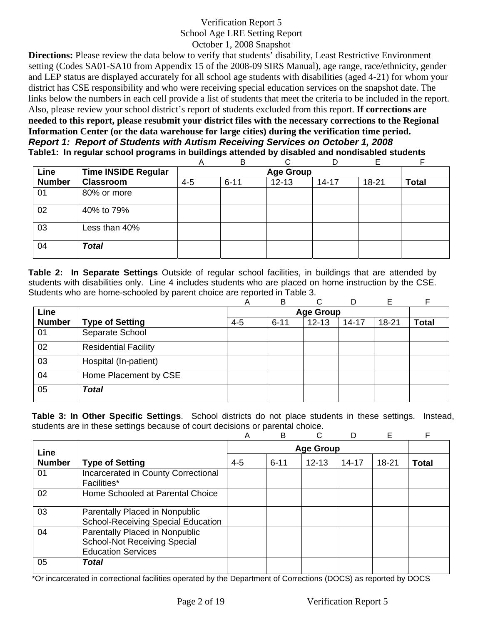**Directions:** Please review the data below to verify that students' disability, Least Restrictive Environment setting (Codes SA01-SA10 from Appendix 15 of the 2008-09 SIRS Manual), age range, race/ethnicity, gender and LEP status are displayed accurately for all school age students with disabilities (aged 4-21) for whom your district has CSE responsibility and who were receiving special education services on the snapshot date. The links below the numbers in each cell provide a list of students that meet the criteria to be included in the report. Also, please review your school district's report of students excluded from this report. **If corrections are needed to this report, please resubmit your district files with the necessary corrections to the Regional Information Center (or the data warehouse for large cities) during the verification time period.** *Report 1: Report of Students with Autism Receiving Services on October 1, 2008* **Table1: In regular school programs in buildings attended by disabled and nondisabled students** 

|               |                            | A       | B        | ⌒                |           | F     |              |
|---------------|----------------------------|---------|----------|------------------|-----------|-------|--------------|
| Line          | <b>Time INSIDE Regular</b> |         |          | <b>Age Group</b> |           |       |              |
| <b>Number</b> | <b>Classroom</b>           | $4 - 5$ | $6 - 11$ | $12 - 13$        | $14 - 17$ | 18-21 | <b>Total</b> |
| 01            | 80% or more                |         |          |                  |           |       |              |
| 02            | 40% to 79%                 |         |          |                  |           |       |              |
| 03            | Less than 40%              |         |          |                  |           |       |              |
| 04            | <b>Total</b>               |         |          |                  |           |       |              |

**Table 2: In Separate Settings** Outside of regular school facilities, in buildings that are attended by students with disabilities only. Line 4 includes students who are placed on home instruction by the CSE. Students who are home-schooled by parent choice are reported in Table 3.

|               |                             | Α       | B        | C                | D         | Е         |              |
|---------------|-----------------------------|---------|----------|------------------|-----------|-----------|--------------|
| Line          |                             |         |          | <b>Age Group</b> |           |           |              |
| <b>Number</b> | <b>Type of Setting</b>      | $4 - 5$ | $6 - 11$ | $12 - 13$        | $14 - 17$ | $18 - 21$ | <b>Total</b> |
| 01            | Separate School             |         |          |                  |           |           |              |
| 02            | <b>Residential Facility</b> |         |          |                  |           |           |              |
| 03            | Hospital (In-patient)       |         |          |                  |           |           |              |
| 04            | Home Placement by CSE       |         |          |                  |           |           |              |
| 05            | <b>Total</b>                |         |          |                  |           |           |              |

**Table 3: In Other Specific Settings**. School districts do not place students in these settings. Instead, students are in these settings because of court decisions or parental choice.

|               |                                                                                                    | Α       | B                | C         |           | Е     |       |  |  |
|---------------|----------------------------------------------------------------------------------------------------|---------|------------------|-----------|-----------|-------|-------|--|--|
| Line          |                                                                                                    |         | <b>Age Group</b> |           |           |       |       |  |  |
| <b>Number</b> | <b>Type of Setting</b>                                                                             | $4 - 5$ | $6 - 11$         | $12 - 13$ | $14 - 17$ | 18-21 | Total |  |  |
| 01            | Incarcerated in County Correctional<br>Facilities*                                                 |         |                  |           |           |       |       |  |  |
| 02            | Home Schooled at Parental Choice                                                                   |         |                  |           |           |       |       |  |  |
| 03            | Parentally Placed in Nonpublic<br><b>School-Receiving Special Education</b>                        |         |                  |           |           |       |       |  |  |
| 04            | Parentally Placed in Nonpublic<br><b>School-Not Receiving Special</b><br><b>Education Services</b> |         |                  |           |           |       |       |  |  |
| 05            | Total                                                                                              |         |                  |           |           |       |       |  |  |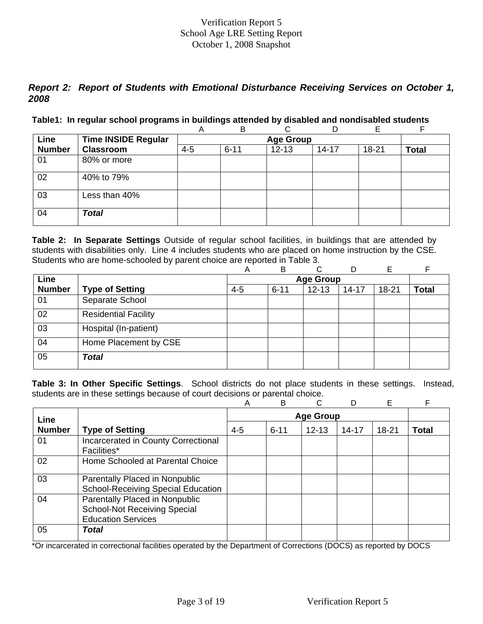## *Report 2: Report of Students with Emotional Disturbance Receiving Services on October 1, 2008*

#### **Table1: In regular school programs in buildings attended by disabled and nondisabled students**

|               |                            | Α       | B                |           | D         | Е         |              |  |  |  |  |  |
|---------------|----------------------------|---------|------------------|-----------|-----------|-----------|--------------|--|--|--|--|--|
| Line          | <b>Time INSIDE Regular</b> |         | <b>Age Group</b> |           |           |           |              |  |  |  |  |  |
| <b>Number</b> | <b>Classroom</b>           | $4 - 5$ | $6 - 11$         | $12 - 13$ | $14 - 17$ | $18 - 21$ | <b>Total</b> |  |  |  |  |  |
| 01            | 80% or more                |         |                  |           |           |           |              |  |  |  |  |  |
| 02            | 40% to 79%                 |         |                  |           |           |           |              |  |  |  |  |  |
| 03            | Less than 40%              |         |                  |           |           |           |              |  |  |  |  |  |
| 04            | <b>Total</b>               |         |                  |           |           |           |              |  |  |  |  |  |

**Table 2: In Separate Settings** Outside of regular school facilities, in buildings that are attended by students with disabilities only. Line 4 includes students who are placed on home instruction by the CSE. Students who are home-schooled by parent choice are reported in Table 3.

|               |                             | Α       | B        | C                | D         | E         |              |
|---------------|-----------------------------|---------|----------|------------------|-----------|-----------|--------------|
| Line          |                             |         |          | <b>Age Group</b> |           |           |              |
| <b>Number</b> | <b>Type of Setting</b>      | $4 - 5$ | $6 - 11$ | $12 - 13$        | $14 - 17$ | $18 - 21$ | <b>Total</b> |
| 01            | Separate School             |         |          |                  |           |           |              |
| 02            | <b>Residential Facility</b> |         |          |                  |           |           |              |
| 03            | Hospital (In-patient)       |         |          |                  |           |           |              |
| 04            | Home Placement by CSE       |         |          |                  |           |           |              |
| 05            | <b>Total</b>                |         |          |                  |           |           |              |

**Table 3: In Other Specific Settings**. School districts do not place students in these settings. Instead, students are in these settings because of court decisions or parental choice.

|               |                                                                                                    | A       | B                | C         |       | E         | F     |  |  |
|---------------|----------------------------------------------------------------------------------------------------|---------|------------------|-----------|-------|-----------|-------|--|--|
| Line          |                                                                                                    |         | <b>Age Group</b> |           |       |           |       |  |  |
| <b>Number</b> | <b>Type of Setting</b>                                                                             | $4 - 5$ | $6 - 11$         | $12 - 13$ | 14-17 | $18 - 21$ | Total |  |  |
| 01            | Incarcerated in County Correctional<br><b>Facilities*</b>                                          |         |                  |           |       |           |       |  |  |
| 02            | Home Schooled at Parental Choice                                                                   |         |                  |           |       |           |       |  |  |
| 03            | Parentally Placed in Nonpublic<br><b>School-Receiving Special Education</b>                        |         |                  |           |       |           |       |  |  |
| 04            | Parentally Placed in Nonpublic<br><b>School-Not Receiving Special</b><br><b>Education Services</b> |         |                  |           |       |           |       |  |  |
| 05            | Total                                                                                              |         |                  |           |       |           |       |  |  |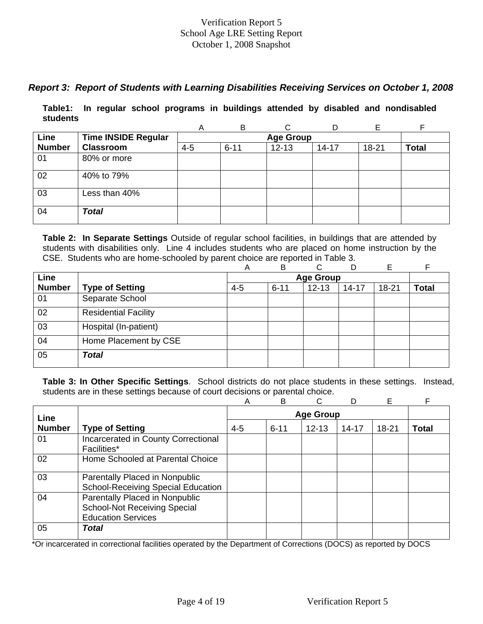## *Report 3: Report of Students with Learning Disabilities Receiving Services on October 1, 2008*

**Table1: In regular school programs in buildings attended by disabled and nondisabled students** 

|               |                            | A       | B                |           | D         | Е         |              |  |  |  |  |
|---------------|----------------------------|---------|------------------|-----------|-----------|-----------|--------------|--|--|--|--|
| Line          | <b>Time INSIDE Regular</b> |         | <b>Age Group</b> |           |           |           |              |  |  |  |  |
| <b>Number</b> | <b>Classroom</b>           | $4 - 5$ | $6 - 11$         | $12 - 13$ | $14 - 17$ | $18 - 21$ | <b>Total</b> |  |  |  |  |
| 01            | 80% or more                |         |                  |           |           |           |              |  |  |  |  |
| 02            | 40% to 79%                 |         |                  |           |           |           |              |  |  |  |  |
| 03            | Less than 40%              |         |                  |           |           |           |              |  |  |  |  |
| 04            | <b>Total</b>               |         |                  |           |           |           |              |  |  |  |  |

**Table 2: In Separate Settings** Outside of regular school facilities, in buildings that are attended by students with disabilities only. Line 4 includes students who are placed on home instruction by the CSE. Students who are home-schooled by parent choice are reported in Table 3.

|               |                             | А       | в        | ⌒                | D         | E         |              |
|---------------|-----------------------------|---------|----------|------------------|-----------|-----------|--------------|
| Line          |                             |         |          | <b>Age Group</b> |           |           |              |
| <b>Number</b> | <b>Type of Setting</b>      | $4 - 5$ | $6 - 11$ | $12 - 13$        | $14 - 17$ | $18 - 21$ | <b>Total</b> |
| 01            | Separate School             |         |          |                  |           |           |              |
| 02            | <b>Residential Facility</b> |         |          |                  |           |           |              |
| 03            | Hospital (In-patient)       |         |          |                  |           |           |              |
| 04            | Home Placement by CSE       |         |          |                  |           |           |              |
| 05            | <b>Total</b>                |         |          |                  |           |           |              |

**Table 3: In Other Specific Settings**. School districts do not place students in these settings. Instead, students are in these settings because of court decisions or parental choice.

|               |                                           | A       | B        |                  |           | Е         | F            |
|---------------|-------------------------------------------|---------|----------|------------------|-----------|-----------|--------------|
| Line          |                                           |         |          | <b>Age Group</b> |           |           |              |
| <b>Number</b> | <b>Type of Setting</b>                    | $4 - 5$ | $6 - 11$ | $12 - 13$        | $14 - 17$ | $18 - 21$ | <b>Total</b> |
| 01            | Incarcerated in County Correctional       |         |          |                  |           |           |              |
|               | Facilities*                               |         |          |                  |           |           |              |
| 02            | Home Schooled at Parental Choice          |         |          |                  |           |           |              |
| 03            | Parentally Placed in Nonpublic            |         |          |                  |           |           |              |
|               | <b>School-Receiving Special Education</b> |         |          |                  |           |           |              |
| 04            | Parentally Placed in Nonpublic            |         |          |                  |           |           |              |
|               | <b>School-Not Receiving Special</b>       |         |          |                  |           |           |              |
|               | <b>Education Services</b>                 |         |          |                  |           |           |              |
| 05            | Total                                     |         |          |                  |           |           |              |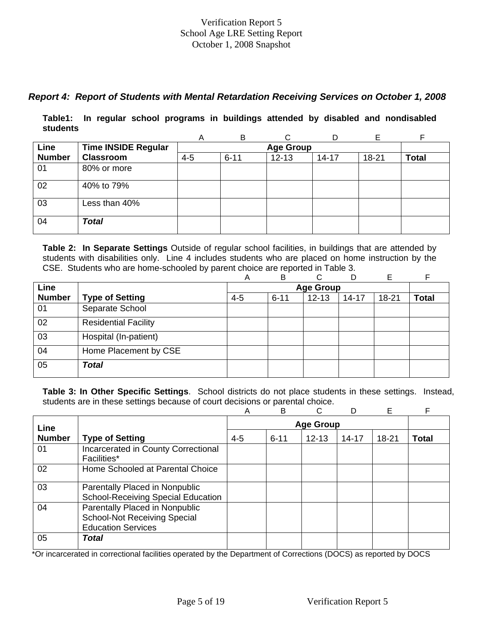## *Report 4: Report of Students with Mental Retardation Receiving Services on October 1, 2008*

**Table1: In regular school programs in buildings attended by disabled and nondisabled students** 

|               |                            | A       | B                |           | D         | F         |              |  |  |  |  |  |
|---------------|----------------------------|---------|------------------|-----------|-----------|-----------|--------------|--|--|--|--|--|
| Line          | <b>Time INSIDE Regular</b> |         | <b>Age Group</b> |           |           |           |              |  |  |  |  |  |
| <b>Number</b> | <b>Classroom</b>           | $4 - 5$ | $6 - 11$         | $12 - 13$ | $14 - 17$ | $18 - 21$ | <b>Total</b> |  |  |  |  |  |
| 01            | 80% or more                |         |                  |           |           |           |              |  |  |  |  |  |
| 02            | 40% to 79%                 |         |                  |           |           |           |              |  |  |  |  |  |
| 03            | Less than 40%              |         |                  |           |           |           |              |  |  |  |  |  |
| 04            | <b>Total</b>               |         |                  |           |           |           |              |  |  |  |  |  |

**Table 2: In Separate Settings** Outside of regular school facilities, in buildings that are attended by students with disabilities only. Line 4 includes students who are placed on home instruction by the CSE. Students who are home-schooled by parent choice are reported in Table 3.

|               |                             | Α       | B        | ⌒                | D         | Е         |              |
|---------------|-----------------------------|---------|----------|------------------|-----------|-----------|--------------|
| Line          |                             |         |          | <b>Age Group</b> |           |           |              |
| <b>Number</b> | <b>Type of Setting</b>      | $4 - 5$ | $6 - 11$ | $12 - 13$        | $14 - 17$ | $18 - 21$ | <b>Total</b> |
| 01            | Separate School             |         |          |                  |           |           |              |
| 02            | <b>Residential Facility</b> |         |          |                  |           |           |              |
| 03            | Hospital (In-patient)       |         |          |                  |           |           |              |
| 04            | Home Placement by CSE       |         |          |                  |           |           |              |
| 05            | <b>Total</b>                |         |          |                  |           |           |              |

**Table 3: In Other Specific Settings**. School districts do not place students in these settings. Instead, students are in these settings because of court decisions or parental choice.

|               |                                                                                                    | Α       | B        | C                |           | E         | F     |
|---------------|----------------------------------------------------------------------------------------------------|---------|----------|------------------|-----------|-----------|-------|
| Line          |                                                                                                    |         |          | <b>Age Group</b> |           |           |       |
| <b>Number</b> | <b>Type of Setting</b>                                                                             | $4 - 5$ | $6 - 11$ | $12 - 13$        | $14 - 17$ | $18 - 21$ | Total |
| 01            | Incarcerated in County Correctional<br>Facilities*                                                 |         |          |                  |           |           |       |
| 02            | Home Schooled at Parental Choice                                                                   |         |          |                  |           |           |       |
| 03            | Parentally Placed in Nonpublic<br><b>School-Receiving Special Education</b>                        |         |          |                  |           |           |       |
| 04            | Parentally Placed in Nonpublic<br><b>School-Not Receiving Special</b><br><b>Education Services</b> |         |          |                  |           |           |       |
| 05            | Total                                                                                              |         |          |                  |           |           |       |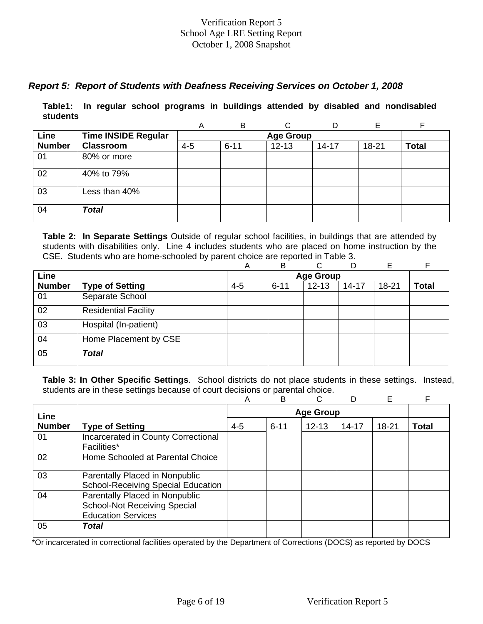## *Report 5: Report of Students with Deafness Receiving Services on October 1, 2008*

**Table1: In regular school programs in buildings attended by disabled and nondisabled students** 

|               |                            | Α       | B        | C                |           |       | F            |
|---------------|----------------------------|---------|----------|------------------|-----------|-------|--------------|
| Line          | <b>Time INSIDE Regular</b> |         |          | <b>Age Group</b> |           |       |              |
| <b>Number</b> | <b>Classroom</b>           | $4 - 5$ | $6 - 11$ | $12 - 13$        | $14 - 17$ | 18-21 | <b>Total</b> |
| 01            | 80% or more                |         |          |                  |           |       |              |
| 02            | 40% to 79%                 |         |          |                  |           |       |              |
| 03            | Less than 40%              |         |          |                  |           |       |              |
| 04            | <b>Total</b>               |         |          |                  |           |       |              |

**Table 2: In Separate Settings** Outside of regular school facilities, in buildings that are attended by students with disabilities only. Line 4 includes students who are placed on home instruction by the CSE. Students who are home-schooled by parent choice are reported in Table 3.

|               |                             | А       | B        | ⌒                | D         | E         | F            |
|---------------|-----------------------------|---------|----------|------------------|-----------|-----------|--------------|
| Line          |                             |         |          | <b>Age Group</b> |           |           |              |
| <b>Number</b> | <b>Type of Setting</b>      | $4 - 5$ | $6 - 11$ | $12 - 13$        | $14 - 17$ | $18 - 21$ | <b>Total</b> |
| 01            | Separate School             |         |          |                  |           |           |              |
| 02            | <b>Residential Facility</b> |         |          |                  |           |           |              |
| 03            | Hospital (In-patient)       |         |          |                  |           |           |              |
| 04            | Home Placement by CSE       |         |          |                  |           |           |              |
| 05            | <b>Total</b>                |         |          |                  |           |           |              |

**Table 3: In Other Specific Settings**. School districts do not place students in these settings. Instead, students are in these settings because of court decisions or parental choice.

|               |                                                                                                    | Α       | B        | C                |           | Е         | F            |
|---------------|----------------------------------------------------------------------------------------------------|---------|----------|------------------|-----------|-----------|--------------|
| Line          |                                                                                                    |         |          | <b>Age Group</b> |           |           |              |
| <b>Number</b> | <b>Type of Setting</b>                                                                             | $4 - 5$ | $6 - 11$ | $12 - 13$        | $14 - 17$ | $18 - 21$ | <b>Total</b> |
| 01            | Incarcerated in County Correctional<br><b>Facilities*</b>                                          |         |          |                  |           |           |              |
| 02            | Home Schooled at Parental Choice                                                                   |         |          |                  |           |           |              |
| 03            | Parentally Placed in Nonpublic<br><b>School-Receiving Special Education</b>                        |         |          |                  |           |           |              |
| 04            | Parentally Placed in Nonpublic<br><b>School-Not Receiving Special</b><br><b>Education Services</b> |         |          |                  |           |           |              |
| 05            | <b>Total</b>                                                                                       |         |          |                  |           |           |              |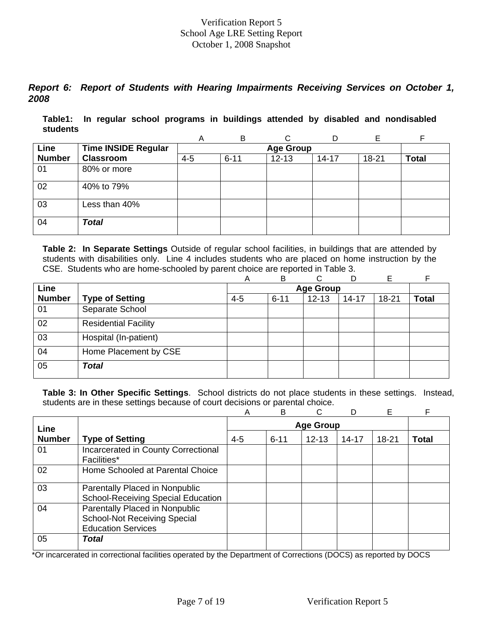## *Report 6: Report of Students with Hearing Impairments Receiving Services on October 1, 2008*

**Table1: In regular school programs in buildings attended by disabled and nondisabled students** 

|               |                            | A       | B                | ⌒         |           |       |              |  |  |  |  |  |
|---------------|----------------------------|---------|------------------|-----------|-----------|-------|--------------|--|--|--|--|--|
| Line          | <b>Time INSIDE Regular</b> |         | <b>Age Group</b> |           |           |       |              |  |  |  |  |  |
| <b>Number</b> | <b>Classroom</b>           | $4 - 5$ | $6 - 11$         | $12 - 13$ | $14 - 17$ | 18-21 | <b>Total</b> |  |  |  |  |  |
| 01            | 80% or more                |         |                  |           |           |       |              |  |  |  |  |  |
| 02            | 40% to 79%                 |         |                  |           |           |       |              |  |  |  |  |  |
| 03            | Less than 40%              |         |                  |           |           |       |              |  |  |  |  |  |
| 04            | <b>Total</b>               |         |                  |           |           |       |              |  |  |  |  |  |

**Table 2: In Separate Settings** Outside of regular school facilities, in buildings that are attended by students with disabilities only. Line 4 includes students who are placed on home instruction by the CSE. Students who are home-schooled by parent choice are reported in Table 3.

|               |                             | Α       | B        | C.               | D         | Е         | E            |
|---------------|-----------------------------|---------|----------|------------------|-----------|-----------|--------------|
| Line          |                             |         |          | <b>Age Group</b> |           |           |              |
| <b>Number</b> | <b>Type of Setting</b>      | $4 - 5$ | $6 - 11$ | $12 - 13$        | $14 - 17$ | $18 - 21$ | <b>Total</b> |
| 01            | Separate School             |         |          |                  |           |           |              |
| 02            | <b>Residential Facility</b> |         |          |                  |           |           |              |
| 03            | Hospital (In-patient)       |         |          |                  |           |           |              |
| 04            | Home Placement by CSE       |         |          |                  |           |           |              |
| 05            | Total                       |         |          |                  |           |           |              |

**Table 3: In Other Specific Settings**. School districts do not place students in these settings. Instead, students are in these settings because of court decisions or parental choice.

|               |                                                                                                    | Α       | B        | C                |           | E     | F            |
|---------------|----------------------------------------------------------------------------------------------------|---------|----------|------------------|-----------|-------|--------------|
| Line          |                                                                                                    |         |          | <b>Age Group</b> |           |       |              |
| <b>Number</b> | <b>Type of Setting</b>                                                                             | $4 - 5$ | $6 - 11$ | $12 - 13$        | $14 - 17$ | 18-21 | <b>Total</b> |
| 01            | Incarcerated in County Correctional<br><b>Facilities*</b>                                          |         |          |                  |           |       |              |
| 02            | Home Schooled at Parental Choice                                                                   |         |          |                  |           |       |              |
| 03            | Parentally Placed in Nonpublic<br><b>School-Receiving Special Education</b>                        |         |          |                  |           |       |              |
| 04            | Parentally Placed in Nonpublic<br><b>School-Not Receiving Special</b><br><b>Education Services</b> |         |          |                  |           |       |              |
| 05            | Total                                                                                              |         |          |                  |           |       |              |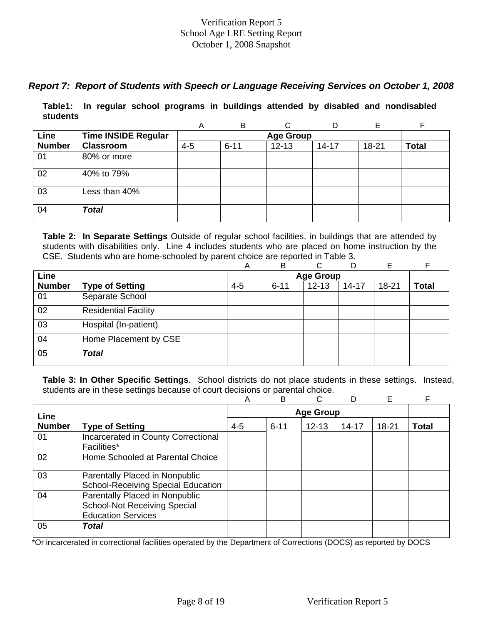## *Report 7: Report of Students with Speech or Language Receiving Services on October 1, 2008*

**Table1: In regular school programs in buildings attended by disabled and nondisabled students** 

|               |                            | A       | B        |                  | D         | E     |              |
|---------------|----------------------------|---------|----------|------------------|-----------|-------|--------------|
| Line          | <b>Time INSIDE Regular</b> |         |          | <b>Age Group</b> |           |       |              |
| <b>Number</b> | <b>Classroom</b>           | $4 - 5$ | $6 - 11$ | $12 - 13$        | $14 - 17$ | 18-21 | <b>Total</b> |
| 01            | 80% or more                |         |          |                  |           |       |              |
| 02            | 40% to 79%                 |         |          |                  |           |       |              |
| 03            | Less than 40%              |         |          |                  |           |       |              |
| 04            | <b>Total</b>               |         |          |                  |           |       |              |

**Table 2: In Separate Settings** Outside of regular school facilities, in buildings that are attended by students with disabilities only. Line 4 includes students who are placed on home instruction by the CSE. Students who are home-schooled by parent choice are reported in Table 3.

|               |                             | А       | B        | ⌒                | D         | E         | F            |
|---------------|-----------------------------|---------|----------|------------------|-----------|-----------|--------------|
| Line          |                             |         |          | <b>Age Group</b> |           |           |              |
| <b>Number</b> | <b>Type of Setting</b>      | $4 - 5$ | $6 - 11$ | $12 - 13$        | $14 - 17$ | $18 - 21$ | <b>Total</b> |
| 01            | Separate School             |         |          |                  |           |           |              |
| 02            | <b>Residential Facility</b> |         |          |                  |           |           |              |
| 03            | Hospital (In-patient)       |         |          |                  |           |           |              |
| 04            | Home Placement by CSE       |         |          |                  |           |           |              |
| 05            | <b>Total</b>                |         |          |                  |           |           |              |

**Table 3: In Other Specific Settings**. School districts do not place students in these settings. Instead, students are in these settings because of court decisions or parental choice.

|               |                                                                                                    | Α       | B                |           |           | Е         | F            |  |  |  |
|---------------|----------------------------------------------------------------------------------------------------|---------|------------------|-----------|-----------|-----------|--------------|--|--|--|
| Line          |                                                                                                    |         | <b>Age Group</b> |           |           |           |              |  |  |  |
| <b>Number</b> | <b>Type of Setting</b>                                                                             | $4 - 5$ | $6 - 11$         | $12 - 13$ | $14 - 17$ | $18 - 21$ | <b>Total</b> |  |  |  |
| 01            | Incarcerated in County Correctional<br>Facilities*                                                 |         |                  |           |           |           |              |  |  |  |
| 02            | Home Schooled at Parental Choice                                                                   |         |                  |           |           |           |              |  |  |  |
| 03            | Parentally Placed in Nonpublic<br><b>School-Receiving Special Education</b>                        |         |                  |           |           |           |              |  |  |  |
| 04            | Parentally Placed in Nonpublic<br><b>School-Not Receiving Special</b><br><b>Education Services</b> |         |                  |           |           |           |              |  |  |  |
| 05            | Total                                                                                              |         |                  |           |           |           |              |  |  |  |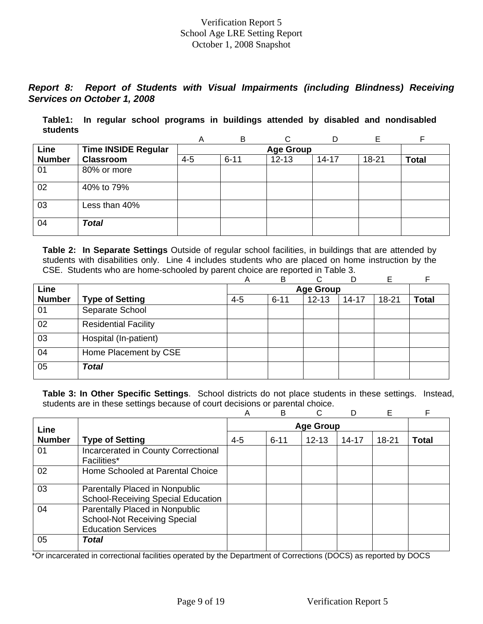## *Report 8: Report of Students with Visual Impairments (including Blindness) Receiving Services on October 1, 2008*

**Table1: In regular school programs in buildings attended by disabled and nondisabled students** 

|               |                            | A       | B        | ⌒                |           |       | F            |
|---------------|----------------------------|---------|----------|------------------|-----------|-------|--------------|
| Line          | <b>Time INSIDE Regular</b> |         |          | <b>Age Group</b> |           |       |              |
| <b>Number</b> | <b>Classroom</b>           | $4 - 5$ | $6 - 11$ | $12 - 13$        | $14 - 17$ | 18-21 | <b>Total</b> |
| 01            | 80% or more                |         |          |                  |           |       |              |
| 02            | 40% to 79%                 |         |          |                  |           |       |              |
| 03            | Less than 40%              |         |          |                  |           |       |              |
| 04            | <b>Total</b>               |         |          |                  |           |       |              |

**Table 2: In Separate Settings** Outside of regular school facilities, in buildings that are attended by students with disabilities only. Line 4 includes students who are placed on home instruction by the CSE. Students who are home-schooled by parent choice are reported in Table 3.

|               |                             | Α       | B        | C.               | D         | Е         | F            |
|---------------|-----------------------------|---------|----------|------------------|-----------|-----------|--------------|
| Line          |                             |         |          | <b>Age Group</b> |           |           |              |
| <b>Number</b> | <b>Type of Setting</b>      | $4 - 5$ | $6 - 11$ | $12 - 13$        | $14 - 17$ | $18 - 21$ | <b>Total</b> |
| 01            | Separate School             |         |          |                  |           |           |              |
| 02            | <b>Residential Facility</b> |         |          |                  |           |           |              |
| 03            | Hospital (In-patient)       |         |          |                  |           |           |              |
| 04            | Home Placement by CSE       |         |          |                  |           |           |              |
| 05            | <b>Total</b>                |         |          |                  |           |           |              |

**Table 3: In Other Specific Settings**. School districts do not place students in these settings. Instead, students are in these settings because of court decisions or parental choice.

|               |                                                                                                    | Α       | B        | C.               |           | E         | F            |
|---------------|----------------------------------------------------------------------------------------------------|---------|----------|------------------|-----------|-----------|--------------|
| Line          |                                                                                                    |         |          | <b>Age Group</b> |           |           |              |
| <b>Number</b> | <b>Type of Setting</b>                                                                             | $4 - 5$ | $6 - 11$ | $12 - 13$        | $14 - 17$ | $18 - 21$ | <b>Total</b> |
| 01            | Incarcerated in County Correctional<br><b>Facilities*</b>                                          |         |          |                  |           |           |              |
| 02            | Home Schooled at Parental Choice                                                                   |         |          |                  |           |           |              |
| 03            | Parentally Placed in Nonpublic<br><b>School-Receiving Special Education</b>                        |         |          |                  |           |           |              |
| 04            | Parentally Placed in Nonpublic<br><b>School-Not Receiving Special</b><br><b>Education Services</b> |         |          |                  |           |           |              |
| 05            | Total                                                                                              |         |          |                  |           |           |              |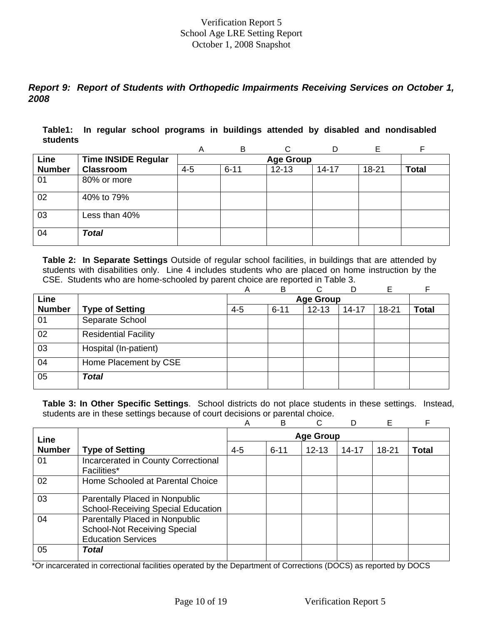## *Report 9: Report of Students with Orthopedic Impairments Receiving Services on October 1, 2008*

**Table1: In regular school programs in buildings attended by disabled and nondisabled students** 

|               |                            | A       | B                |           | D         | F         |              |  |  |  |  |  |
|---------------|----------------------------|---------|------------------|-----------|-----------|-----------|--------------|--|--|--|--|--|
| Line          | <b>Time INSIDE Regular</b> |         | <b>Age Group</b> |           |           |           |              |  |  |  |  |  |
| <b>Number</b> | <b>Classroom</b>           | $4 - 5$ | $6 - 11$         | $12 - 13$ | $14 - 17$ | $18 - 21$ | <b>Total</b> |  |  |  |  |  |
| 01            | 80% or more                |         |                  |           |           |           |              |  |  |  |  |  |
| 02            | 40% to 79%                 |         |                  |           |           |           |              |  |  |  |  |  |
| 03            | Less than 40%              |         |                  |           |           |           |              |  |  |  |  |  |
| 04            | <b>Total</b>               |         |                  |           |           |           |              |  |  |  |  |  |

**Table 2: In Separate Settings** Outside of regular school facilities, in buildings that are attended by students with disabilities only. Line 4 includes students who are placed on home instruction by the CSE. Students who are home-schooled by parent choice are reported in Table 3.

|               |                             | Α       | B        | ⌒                |           | E         |              |
|---------------|-----------------------------|---------|----------|------------------|-----------|-----------|--------------|
| Line          |                             |         |          | <b>Age Group</b> |           |           |              |
| <b>Number</b> | <b>Type of Setting</b>      | $4 - 5$ | $6 - 11$ | $12 - 13$        | $14 - 17$ | $18 - 21$ | <b>Total</b> |
| 01            | Separate School             |         |          |                  |           |           |              |
| 02            | <b>Residential Facility</b> |         |          |                  |           |           |              |
| 03            | Hospital (In-patient)       |         |          |                  |           |           |              |
| 04            | Home Placement by CSE       |         |          |                  |           |           |              |
| 05            | <b>Total</b>                |         |          |                  |           |           |              |

**Table 3: In Other Specific Settings**. School districts do not place students in these settings. Instead, students are in these settings because of court decisions or parental choice.

|               |                                                                                                    | Α       | B        | C                |           | Е         | F            |
|---------------|----------------------------------------------------------------------------------------------------|---------|----------|------------------|-----------|-----------|--------------|
| Line          |                                                                                                    |         |          | <b>Age Group</b> |           |           |              |
| <b>Number</b> | <b>Type of Setting</b>                                                                             | $4 - 5$ | $6 - 11$ | $12 - 13$        | $14 - 17$ | $18 - 21$ | <b>Total</b> |
| 01            | Incarcerated in County Correctional<br><b>Facilities*</b>                                          |         |          |                  |           |           |              |
| 02            | Home Schooled at Parental Choice                                                                   |         |          |                  |           |           |              |
| 03            | Parentally Placed in Nonpublic<br><b>School-Receiving Special Education</b>                        |         |          |                  |           |           |              |
| 04            | Parentally Placed in Nonpublic<br><b>School-Not Receiving Special</b><br><b>Education Services</b> |         |          |                  |           |           |              |
| 05            | <b>Total</b>                                                                                       |         |          |                  |           |           |              |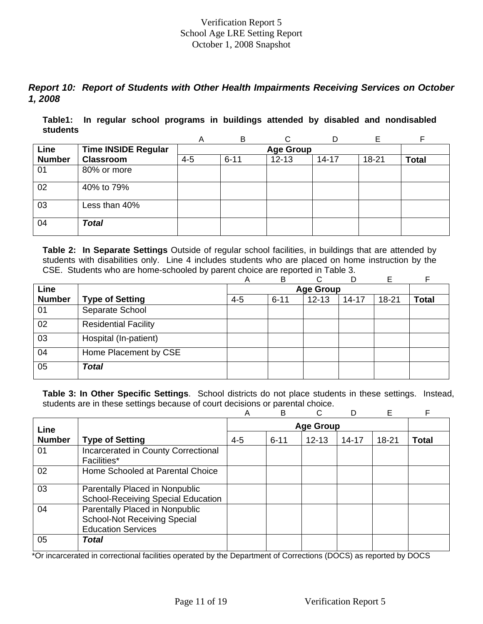## *Report 10: Report of Students with Other Health Impairments Receiving Services on October 1, 2008*

**Table1: In regular school programs in buildings attended by disabled and nondisabled students** 

|               |                            | A       | B                |           | D         | Е     |              |  |  |  |  |  |
|---------------|----------------------------|---------|------------------|-----------|-----------|-------|--------------|--|--|--|--|--|
| Line          | <b>Time INSIDE Regular</b> |         | <b>Age Group</b> |           |           |       |              |  |  |  |  |  |
| <b>Number</b> | <b>Classroom</b>           | $4 - 5$ | $6 - 11$         | $12 - 13$ | $14 - 17$ | 18-21 | <b>Total</b> |  |  |  |  |  |
| 01            | 80% or more                |         |                  |           |           |       |              |  |  |  |  |  |
| 02            | 40% to 79%                 |         |                  |           |           |       |              |  |  |  |  |  |
| 03            | Less than 40%              |         |                  |           |           |       |              |  |  |  |  |  |
| 04            | <b>Total</b>               |         |                  |           |           |       |              |  |  |  |  |  |

**Table 2: In Separate Settings** Outside of regular school facilities, in buildings that are attended by students with disabilities only. Line 4 includes students who are placed on home instruction by the CSE. Students who are home-schooled by parent choice are reported in Table 3.

|               |                             | Α       | B        | C.               | D         | Е         | F            |
|---------------|-----------------------------|---------|----------|------------------|-----------|-----------|--------------|
| <b>Line</b>   |                             |         |          | <b>Age Group</b> |           |           |              |
| <b>Number</b> | <b>Type of Setting</b>      | $4 - 5$ | $6 - 11$ | $12 - 13$        | $14 - 17$ | $18 - 21$ | <b>Total</b> |
| 01            | Separate School             |         |          |                  |           |           |              |
| 02            | <b>Residential Facility</b> |         |          |                  |           |           |              |
| 03            | Hospital (In-patient)       |         |          |                  |           |           |              |
| 04            | Home Placement by CSE       |         |          |                  |           |           |              |
| 05            | <b>Total</b>                |         |          |                  |           |           |              |

**Table 3: In Other Specific Settings**. School districts do not place students in these settings. Instead, students are in these settings because of court decisions or parental choice.

|               |                                                                                                    | Α       | B        | C.               |           | E         | F            |
|---------------|----------------------------------------------------------------------------------------------------|---------|----------|------------------|-----------|-----------|--------------|
| Line          |                                                                                                    |         |          | <b>Age Group</b> |           |           |              |
| <b>Number</b> | <b>Type of Setting</b>                                                                             | $4 - 5$ | $6 - 11$ | $12 - 13$        | $14 - 17$ | $18 - 21$ | <b>Total</b> |
| 01            | Incarcerated in County Correctional<br><b>Facilities*</b>                                          |         |          |                  |           |           |              |
| 02            | Home Schooled at Parental Choice                                                                   |         |          |                  |           |           |              |
| 03            | Parentally Placed in Nonpublic<br><b>School-Receiving Special Education</b>                        |         |          |                  |           |           |              |
| 04            | Parentally Placed in Nonpublic<br><b>School-Not Receiving Special</b><br><b>Education Services</b> |         |          |                  |           |           |              |
| 05            | Total                                                                                              |         |          |                  |           |           |              |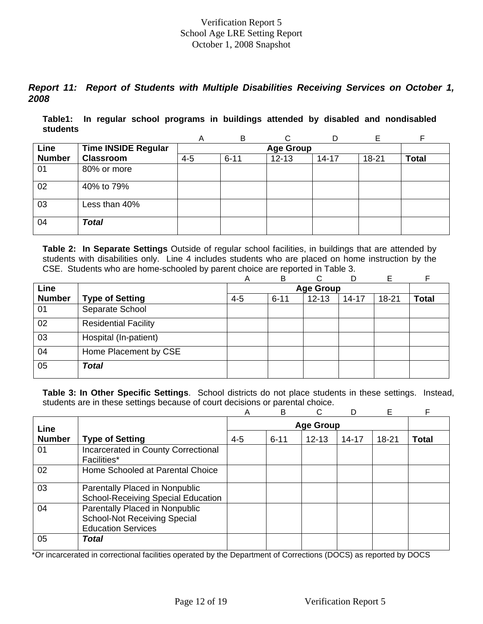## *Report 11: Report of Students with Multiple Disabilities Receiving Services on October 1, 2008*

**Table1: In regular school programs in buildings attended by disabled and nondisabled students** 

|               |                            | A       | B                |           |           | F         |              |  |  |  |  |  |
|---------------|----------------------------|---------|------------------|-----------|-----------|-----------|--------------|--|--|--|--|--|
| Line          | <b>Time INSIDE Regular</b> |         | <b>Age Group</b> |           |           |           |              |  |  |  |  |  |
| <b>Number</b> | <b>Classroom</b>           | $4 - 5$ | $6 - 11$         | $12 - 13$ | $14 - 17$ | $18 - 21$ | <b>Total</b> |  |  |  |  |  |
| 01            | 80% or more                |         |                  |           |           |           |              |  |  |  |  |  |
| 02            | 40% to 79%                 |         |                  |           |           |           |              |  |  |  |  |  |
| 03            | Less than 40%              |         |                  |           |           |           |              |  |  |  |  |  |
| 04            | <b>Total</b>               |         |                  |           |           |           |              |  |  |  |  |  |

**Table 2: In Separate Settings** Outside of regular school facilities, in buildings that are attended by students with disabilities only. Line 4 includes students who are placed on home instruction by the CSE. Students who are home-schooled by parent choice are reported in Table 3.

|               |                             | Α       | B        | C.               | D         | Е         | E            |
|---------------|-----------------------------|---------|----------|------------------|-----------|-----------|--------------|
| Line          |                             |         |          | <b>Age Group</b> |           |           |              |
| <b>Number</b> | <b>Type of Setting</b>      | $4 - 5$ | $6 - 11$ | $12 - 13$        | $14 - 17$ | $18 - 21$ | <b>Total</b> |
| 01            | Separate School             |         |          |                  |           |           |              |
| 02            | <b>Residential Facility</b> |         |          |                  |           |           |              |
| 03            | Hospital (In-patient)       |         |          |                  |           |           |              |
| 04            | Home Placement by CSE       |         |          |                  |           |           |              |
| 05            | Total                       |         |          |                  |           |           |              |

**Table 3: In Other Specific Settings**. School districts do not place students in these settings. Instead, students are in these settings because of court decisions or parental choice.

|               |                                                                                                    | Α       | B        | C                |           | E     | F            |
|---------------|----------------------------------------------------------------------------------------------------|---------|----------|------------------|-----------|-------|--------------|
| Line          |                                                                                                    |         |          | <b>Age Group</b> |           |       |              |
| <b>Number</b> | <b>Type of Setting</b>                                                                             | $4 - 5$ | $6 - 11$ | $12 - 13$        | $14 - 17$ | 18-21 | <b>Total</b> |
| 01            | Incarcerated in County Correctional<br><b>Facilities*</b>                                          |         |          |                  |           |       |              |
| 02            | Home Schooled at Parental Choice                                                                   |         |          |                  |           |       |              |
| 03            | Parentally Placed in Nonpublic<br><b>School-Receiving Special Education</b>                        |         |          |                  |           |       |              |
| 04            | Parentally Placed in Nonpublic<br><b>School-Not Receiving Special</b><br><b>Education Services</b> |         |          |                  |           |       |              |
| 05            | Total                                                                                              |         |          |                  |           |       |              |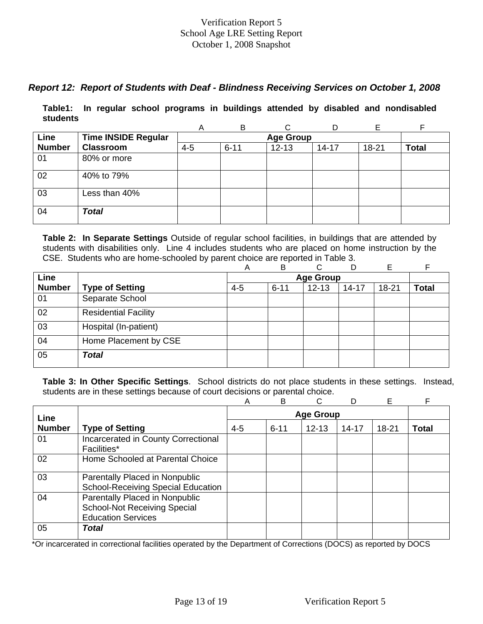## *Report 12: Report of Students with Deaf - Blindness Receiving Services on October 1, 2008*

**Table1: In regular school programs in buildings attended by disabled and nondisabled students** 

|               |                            | Α       | B                | ⌒         |           |       |              |  |  |  |  |  |
|---------------|----------------------------|---------|------------------|-----------|-----------|-------|--------------|--|--|--|--|--|
| Line          | <b>Time INSIDE Regular</b> |         | <b>Age Group</b> |           |           |       |              |  |  |  |  |  |
| <b>Number</b> | <b>Classroom</b>           | $4 - 5$ | $6 - 11$         | $12 - 13$ | $14 - 17$ | 18-21 | <b>Total</b> |  |  |  |  |  |
| 01            | 80% or more                |         |                  |           |           |       |              |  |  |  |  |  |
| 02            | 40% to 79%                 |         |                  |           |           |       |              |  |  |  |  |  |
| 03            | Less than 40%              |         |                  |           |           |       |              |  |  |  |  |  |
| 04            | <b>Total</b>               |         |                  |           |           |       |              |  |  |  |  |  |

**Table 2: In Separate Settings** Outside of regular school facilities, in buildings that are attended by students with disabilities only. Line 4 includes students who are placed on home instruction by the CSE. Students who are home-schooled by parent choice are reported in Table 3.

|               |                             | Α       | в        | ⌒                | D         | E     |              |
|---------------|-----------------------------|---------|----------|------------------|-----------|-------|--------------|
| Line          |                             |         |          | <b>Age Group</b> |           |       |              |
| <b>Number</b> | <b>Type of Setting</b>      | $4 - 5$ | $6 - 11$ | $12 - 13$        | $14 - 17$ | 18-21 | <b>Total</b> |
| 01            | Separate School             |         |          |                  |           |       |              |
| 02            | <b>Residential Facility</b> |         |          |                  |           |       |              |
| 03            | Hospital (In-patient)       |         |          |                  |           |       |              |
| 04            | Home Placement by CSE       |         |          |                  |           |       |              |
| 05            | <b>Total</b>                |         |          |                  |           |       |              |

**Table 3: In Other Specific Settings**. School districts do not place students in these settings. Instead, students are in these settings because of court decisions or parental choice.

|               |                                           | A       | B                |           | D         | Е         |       |  |
|---------------|-------------------------------------------|---------|------------------|-----------|-----------|-----------|-------|--|
| Line          |                                           |         | <b>Age Group</b> |           |           |           |       |  |
| <b>Number</b> | <b>Type of Setting</b>                    | $4 - 5$ | $6 - 11$         | $12 - 13$ | $14 - 17$ | $18 - 21$ | Total |  |
| 01            | Incarcerated in County Correctional       |         |                  |           |           |           |       |  |
|               | Facilities*                               |         |                  |           |           |           |       |  |
| 02            | Home Schooled at Parental Choice          |         |                  |           |           |           |       |  |
| 03            | Parentally Placed in Nonpublic            |         |                  |           |           |           |       |  |
|               | <b>School-Receiving Special Education</b> |         |                  |           |           |           |       |  |
| 04            | Parentally Placed in Nonpublic            |         |                  |           |           |           |       |  |
|               | <b>School-Not Receiving Special</b>       |         |                  |           |           |           |       |  |
|               | <b>Education Services</b>                 |         |                  |           |           |           |       |  |
| 05            | Total                                     |         |                  |           |           |           |       |  |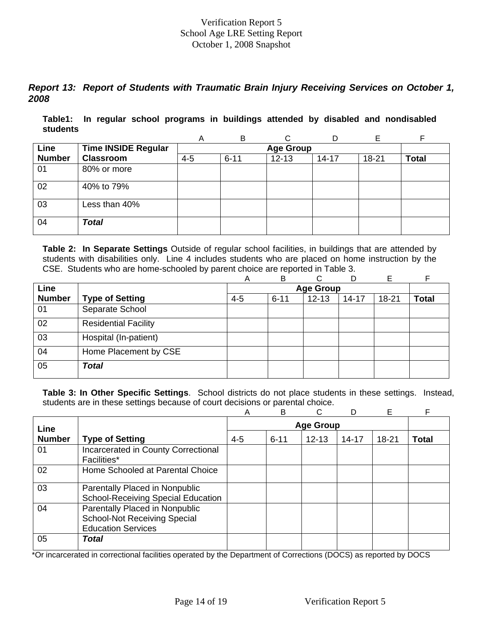## *Report 13: Report of Students with Traumatic Brain Injury Receiving Services on October 1, 2008*

**Table1: In regular school programs in buildings attended by disabled and nondisabled students** 

|               |                            | A       | B                | ⌒         |           |       |              |  |  |  |  |  |
|---------------|----------------------------|---------|------------------|-----------|-----------|-------|--------------|--|--|--|--|--|
| Line          | <b>Time INSIDE Regular</b> |         | <b>Age Group</b> |           |           |       |              |  |  |  |  |  |
| <b>Number</b> | <b>Classroom</b>           | $4 - 5$ | $6 - 11$         | $12 - 13$ | $14 - 17$ | 18-21 | <b>Total</b> |  |  |  |  |  |
| 01            | 80% or more                |         |                  |           |           |       |              |  |  |  |  |  |
| 02            | 40% to 79%                 |         |                  |           |           |       |              |  |  |  |  |  |
| 03            | Less than 40%              |         |                  |           |           |       |              |  |  |  |  |  |
| 04            | <b>Total</b>               |         |                  |           |           |       |              |  |  |  |  |  |

**Table 2: In Separate Settings** Outside of regular school facilities, in buildings that are attended by students with disabilities only. Line 4 includes students who are placed on home instruction by the CSE. Students who are home-schooled by parent choice are reported in Table 3.

|               |                             | Α       | B        | C.               | D         | Е         |              |
|---------------|-----------------------------|---------|----------|------------------|-----------|-----------|--------------|
| Line          |                             |         |          | <b>Age Group</b> |           |           |              |
| <b>Number</b> | <b>Type of Setting</b>      | $4 - 5$ | $6 - 11$ | $12 - 13$        | $14 - 17$ | $18 - 21$ | <b>Total</b> |
| 01            | Separate School             |         |          |                  |           |           |              |
| 02            | <b>Residential Facility</b> |         |          |                  |           |           |              |
| 03            | Hospital (In-patient)       |         |          |                  |           |           |              |
| 04            | Home Placement by CSE       |         |          |                  |           |           |              |
| 05            | <b>Total</b>                |         |          |                  |           |           |              |

**Table 3: In Other Specific Settings**. School districts do not place students in these settings. Instead, students are in these settings because of court decisions or parental choice.

|               |                                                                                                    | Α       | B                | C         |           | E         | F            |  |  |
|---------------|----------------------------------------------------------------------------------------------------|---------|------------------|-----------|-----------|-----------|--------------|--|--|
| Line          |                                                                                                    |         | <b>Age Group</b> |           |           |           |              |  |  |
| <b>Number</b> | <b>Type of Setting</b>                                                                             | $4 - 5$ | $6 - 11$         | $12 - 13$ | $14 - 17$ | $18 - 21$ | <b>Total</b> |  |  |
| 01            | Incarcerated in County Correctional<br><b>Facilities*</b>                                          |         |                  |           |           |           |              |  |  |
| 02            | Home Schooled at Parental Choice                                                                   |         |                  |           |           |           |              |  |  |
| 03            | Parentally Placed in Nonpublic<br><b>School-Receiving Special Education</b>                        |         |                  |           |           |           |              |  |  |
| 04            | Parentally Placed in Nonpublic<br><b>School-Not Receiving Special</b><br><b>Education Services</b> |         |                  |           |           |           |              |  |  |
| 05            | Total                                                                                              |         |                  |           |           |           |              |  |  |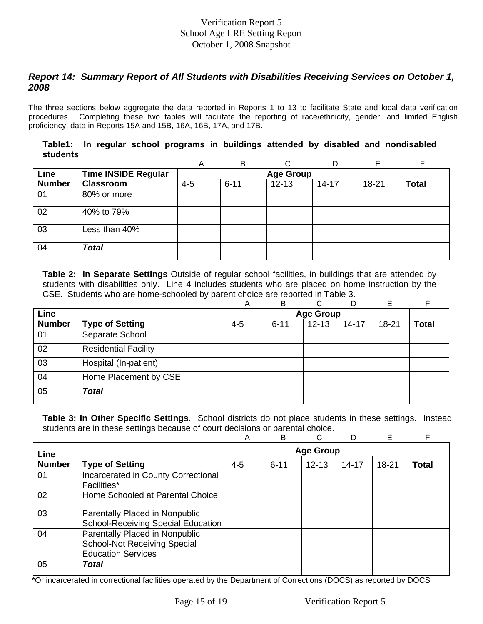## *Report 14: Summary Report of All Students with Disabilities Receiving Services on October 1, 2008*

The three sections below aggregate the data reported in Reports 1 to 13 to facilitate State and local data verification procedures. Completing these two tables will facilitate the reporting of race/ethnicity, gender, and limited English proficiency, data in Reports 15A and 15B, 16A, 16B, 17A, and 17B.

|          |  |  |  |  |  | Table1: In regular school programs in buildings attended by disabled and nondisabled |
|----------|--|--|--|--|--|--------------------------------------------------------------------------------------|
| students |  |  |  |  |  |                                                                                      |

|               |                            | Α       | B                | $\sim$    |           |       | Е            |  |  |  |  |
|---------------|----------------------------|---------|------------------|-----------|-----------|-------|--------------|--|--|--|--|
| Line          | <b>Time INSIDE Regular</b> |         | <b>Age Group</b> |           |           |       |              |  |  |  |  |
| <b>Number</b> | <b>Classroom</b>           | $4 - 5$ | $6 - 11$         | $12 - 13$ | $14 - 17$ | 18-21 | <b>Total</b> |  |  |  |  |
| 01            | 80% or more                |         |                  |           |           |       |              |  |  |  |  |
| 02            | 40% to 79%                 |         |                  |           |           |       |              |  |  |  |  |
| 03            | Less than 40%              |         |                  |           |           |       |              |  |  |  |  |
| 04            | <b>Total</b>               |         |                  |           |           |       |              |  |  |  |  |

**Table 2: In Separate Settings** Outside of regular school facilities, in buildings that are attended by students with disabilities only. Line 4 includes students who are placed on home instruction by the CSE. Students who are home-schooled by parent choice are reported in Table 3.

|               |                             | Α       | В                | ⌒         | D         | Е         |              |  |  |  |
|---------------|-----------------------------|---------|------------------|-----------|-----------|-----------|--------------|--|--|--|
| Line          |                             |         | <b>Age Group</b> |           |           |           |              |  |  |  |
| <b>Number</b> | <b>Type of Setting</b>      | $4 - 5$ | $6 - 11$         | $12 - 13$ | $14 - 17$ | $18 - 21$ | <b>Total</b> |  |  |  |
| 01            | Separate School             |         |                  |           |           |           |              |  |  |  |
| 02            | <b>Residential Facility</b> |         |                  |           |           |           |              |  |  |  |
| 03            | Hospital (In-patient)       |         |                  |           |           |           |              |  |  |  |
| 04            | Home Placement by CSE       |         |                  |           |           |           |              |  |  |  |
| 05            | <b>Total</b>                |         |                  |           |           |           |              |  |  |  |

**Table 3: In Other Specific Settings**. School districts do not place students in these settings. Instead, students are in these settings because of court decisions or parental choice.

|               |                                                                                                    | Α       | B                | C         |           | Е         | F            |  |  |
|---------------|----------------------------------------------------------------------------------------------------|---------|------------------|-----------|-----------|-----------|--------------|--|--|
| Line          |                                                                                                    |         | <b>Age Group</b> |           |           |           |              |  |  |
| <b>Number</b> | <b>Type of Setting</b>                                                                             | $4 - 5$ | $6 - 11$         | $12 - 13$ | $14 - 17$ | $18 - 21$ | <b>Total</b> |  |  |
| 01            | Incarcerated in County Correctional<br>Facilities*                                                 |         |                  |           |           |           |              |  |  |
| 02            | Home Schooled at Parental Choice                                                                   |         |                  |           |           |           |              |  |  |
| 03            | Parentally Placed in Nonpublic<br><b>School-Receiving Special Education</b>                        |         |                  |           |           |           |              |  |  |
| 04            | Parentally Placed in Nonpublic<br><b>School-Not Receiving Special</b><br><b>Education Services</b> |         |                  |           |           |           |              |  |  |
| 05            | <b>Total</b>                                                                                       |         |                  |           |           |           |              |  |  |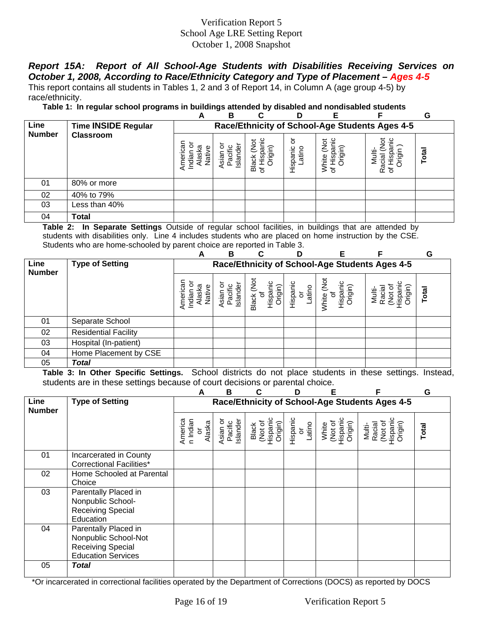# *Report 15A: Report of All School-Age Students with Disabilities Receiving Services on October 1, 2008, According to Race/Ethnicity Category and Type of Placement – Ages 4-5*

This report contains all students in Tables 1, 2 and 3 of Report 14, in Column A (age group 4-5) by race/ethnicity.

**Table 1: In regular school programs in buildings attended by disabled and nondisabled students** 

|               |                            | A                                                                                               | B                          | r                                     | D                      | Е                                          |                                                | G     |
|---------------|----------------------------|-------------------------------------------------------------------------------------------------|----------------------------|---------------------------------------|------------------------|--------------------------------------------|------------------------------------------------|-------|
| Line          | <b>Time INSIDE Regular</b> |                                                                                                 |                            |                                       |                        |                                            | Race/Ethnicity of School-Age Students Ages 4-5 |       |
| <b>Number</b> | <b>Classroom</b>           | American<br>ō<br>ত<br>മ<br><u>등.</u><br>$\overline{\text{as}}$<br><u>Jati</u><br>$\overline{E}$ | Islande<br>Asian<br>Pacifi | ğ<br>త్రా<br>ंडा<br><b>Black</b><br>৳ | ŏ<br>Hispanic<br>atino | ispanic<br>ă<br>rigin)<br>White<br>of Hisp | ğ<br><u>ي</u><br>O)<br>त्व<br>₹<br>Raci<br>৳   | Total |
| 01            | 80% or more                |                                                                                                 |                            |                                       |                        |                                            |                                                |       |
| 02            | 40% to 79%                 |                                                                                                 |                            |                                       |                        |                                            |                                                |       |
| 03            | Less than 40%              |                                                                                                 |                            |                                       |                        |                                            |                                                |       |
| 04            | Total                      |                                                                                                 |                            |                                       |                        |                                            |                                                |       |

**Table 2: In Separate Settings** Outside of regular school facilities, in buildings that are attended by students with disabilities only. Line 4 includes students who are placed on home instruction by the CSE. Students who are home-schooled by parent choice are reported in Table 3.

|                       |                             | A                                              | B                       | C                                    |                                     | F                                                        |                                              | G     |  |  |
|-----------------------|-----------------------------|------------------------------------------------|-------------------------|--------------------------------------|-------------------------------------|----------------------------------------------------------|----------------------------------------------|-------|--|--|
| Line<br><b>Number</b> | <b>Type of Setting</b>      | Race/Ethnicity of School-Age Students Ages 4-5 |                         |                                      |                                     |                                                          |                                              |       |  |  |
|                       |                             | Native<br>iasi<br>Indiar<br>₫                  | Island<br>Pacif<br>sian | ğ<br>(uipjx<br>ispar<br><b>Black</b> | Hispanic<br>atino<br>$\overline{5}$ | White (Not<br>Hispanic<br>Origin)<br>$\overline{\sigma}$ | Racia<br>Multi-<br>Drigir<br><b>Z</b><br>Sea | Total |  |  |
| 01                    | Separate School             |                                                |                         |                                      |                                     |                                                          |                                              |       |  |  |
| 02                    | <b>Residential Facility</b> |                                                |                         |                                      |                                     |                                                          |                                              |       |  |  |
| 03                    | Hospital (In-patient)       |                                                |                         |                                      |                                     |                                                          |                                              |       |  |  |
| 04                    | Home Placement by CSE       |                                                |                         |                                      |                                     |                                                          |                                              |       |  |  |
| 05                    | <b>Total</b>                |                                                |                         |                                      |                                     |                                                          |                                              |       |  |  |

**Table 3: In Other Specific Settings.** School districts do not place students in these settings. Instead, students are in these settings because of court decisions or parental choice.

|                       |                                                                                                       | А                                                    | в                               |                                         | D                        | F                                       | F                                                  | G     |
|-----------------------|-------------------------------------------------------------------------------------------------------|------------------------------------------------------|---------------------------------|-----------------------------------------|--------------------------|-----------------------------------------|----------------------------------------------------|-------|
| Line<br><b>Number</b> | <b>Type of Setting</b>                                                                                |                                                      |                                 |                                         |                          |                                         | Race/Ethnicity of School-Age Students Ages 4-5     |       |
|                       |                                                                                                       | America<br>n Indian<br>Alaska<br>$\overline{\sigma}$ | Pacific<br>Islander<br>Asian or | Black<br>(Not of<br>Hispanic<br>Origin) | Hispanic<br>or<br>Latino | White<br>(Not of<br>Hispanic<br>Origin) | (Not of<br>Hispanic<br>Origin)<br>Multi-<br>Racial | Total |
| 01                    | Incarcerated in County<br><b>Correctional Facilities*</b>                                             |                                                      |                                 |                                         |                          |                                         |                                                    |       |
| 02                    | Home Schooled at Parental<br>Choice                                                                   |                                                      |                                 |                                         |                          |                                         |                                                    |       |
| 03                    | Parentally Placed in<br>Nonpublic School-<br>Receiving Special<br>Education                           |                                                      |                                 |                                         |                          |                                         |                                                    |       |
| 04                    | Parentally Placed in<br>Nonpublic School-Not<br><b>Receiving Special</b><br><b>Education Services</b> |                                                      |                                 |                                         |                          |                                         |                                                    |       |
| 05                    | <b>Total</b>                                                                                          |                                                      |                                 |                                         |                          |                                         |                                                    |       |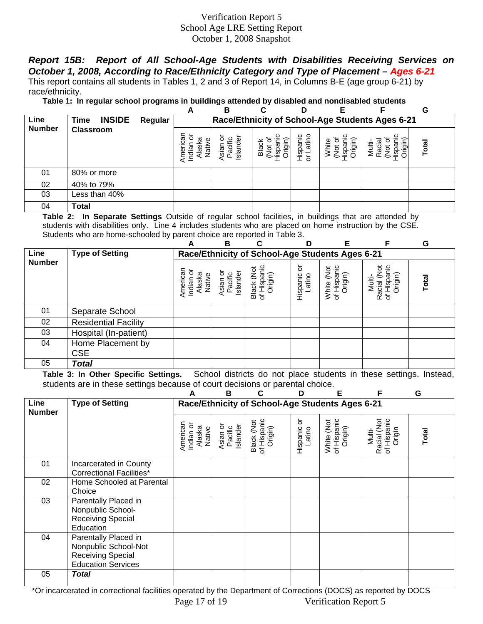*Report 15B: Report of All School-Age Students with Disabilities Receiving Services on October 1, 2008, According to Race/Ethnicity Category and Type of Placement – Ages 6-21* This report contains all students in Tables 1, 2 and 3 of Report 14, in Columns B-E (age group 6-21) by race/ethnicity.

**Table 1: In regular school programs in buildings attended by disabled and nondisabled students** 

|               |                       |         | A                                                 | в                                 | С                | D                    |                                              |                                                 | G     |
|---------------|-----------------------|---------|---------------------------------------------------|-----------------------------------|------------------|----------------------|----------------------------------------------|-------------------------------------------------|-------|
| Line          | <b>INSIDE</b><br>Time | Regular |                                                   |                                   |                  |                      |                                              | Race/Ethnicity of School-Age Students Ages 6-21 |       |
| <b>Number</b> | <b>Classroom</b>      |         | శ్ర<br>ത്ര<br><u>ē</u><br><u>as</u><br>ia≓<br>Ten | Islander<br><b>Nsian</b><br>Pacif | Trigin)<br>Black | atino<br>Hispan<br>៦ | Origin)<br>etirl<br>$\ddot{9}$<br><u>isp</u> | Multi<br>Racia<br>dsil                          | Total |
| 01            | 80% or more           |         |                                                   |                                   |                  |                      |                                              |                                                 |       |
| 02            | 40% to 79%            |         |                                                   |                                   |                  |                      |                                              |                                                 |       |
| 03            | Less than 40%         |         |                                                   |                                   |                  |                      |                                              |                                                 |       |
| 04            | Total                 |         |                                                   |                                   |                  |                      |                                              |                                                 |       |

**Table 2: In Separate Settings** Outside of regular school facilities, in buildings that are attended by students with disabilities only. Line 4 includes students who are placed on home instruction by the CSE. Students who are home-schooled by parent choice are reported in Table 3.

|               |                             | А                                         | В                               | C                                               | D                      | Е                                                      |                                                 | G     |
|---------------|-----------------------------|-------------------------------------------|---------------------------------|-------------------------------------------------|------------------------|--------------------------------------------------------|-------------------------------------------------|-------|
| Line          | <b>Type of Setting</b>      |                                           |                                 | Race/Ethnicity of School-Age Students Ages 6-21 |                        |                                                        |                                                 |       |
| <b>Number</b> |                             | American<br>Indian or<br>Alaska<br>Native | Asian or<br>Islander<br>Pacific | of Hispanic<br>Black (Not<br>Origin)            | ১<br>Hispanic<br>atino | Hispanic<br>Origin)<br>$\check{g}$<br>White<br>of Hisp | Racial (Not<br>of Hispanic<br>Origin)<br>Multi- | Total |
| 01            | Separate School             |                                           |                                 |                                                 |                        |                                                        |                                                 |       |
| 02            | <b>Residential Facility</b> |                                           |                                 |                                                 |                        |                                                        |                                                 |       |
| 03            | Hospital (In-patient)       |                                           |                                 |                                                 |                        |                                                        |                                                 |       |
| 04            | Home Placement by           |                                           |                                 |                                                 |                        |                                                        |                                                 |       |
|               | <b>CSE</b>                  |                                           |                                 |                                                 |                        |                                                        |                                                 |       |
| 05            | <b>Total</b>                |                                           |                                 |                                                 |                        |                                                        |                                                 |       |

**Table 3: In Other Specific Settings.** School districts do not place students in these settings. Instead, students are in these settings because of court decisions or parental choice.

|                       |                                                                                                       |                                           | B                               |                                                 | D                       | Е                                    | F                                              | G                 |
|-----------------------|-------------------------------------------------------------------------------------------------------|-------------------------------------------|---------------------------------|-------------------------------------------------|-------------------------|--------------------------------------|------------------------------------------------|-------------------|
| Line<br><b>Number</b> | <b>Type of Setting</b>                                                                                |                                           |                                 | Race/Ethnicity of School-Age Students Ages 6-21 |                         |                                      |                                                |                   |
|                       |                                                                                                       | American<br>Indian or<br>Alaska<br>Native | Asian or<br>Pacific<br>Islander | of Hispanic<br>Black (Not<br>Origin)            | ŏ<br>Hispanic<br>Latino | of Hispanic<br>White (Not<br>Origin) | Racial (Not<br>of Hispanic<br>Origin<br>Multi- | <b>Total</b>      |
| 01                    | Incarcerated in County<br><b>Correctional Facilities*</b>                                             |                                           |                                 |                                                 |                         |                                      |                                                |                   |
| 02                    | Home Schooled at Parental<br>Choice                                                                   |                                           |                                 |                                                 |                         |                                      |                                                |                   |
| 03                    | Parentally Placed in<br>Nonpublic School-<br><b>Receiving Special</b><br>Education                    |                                           |                                 |                                                 |                         |                                      |                                                |                   |
| 04                    | Parentally Placed in<br>Nonpublic School-Not<br><b>Receiving Special</b><br><b>Education Services</b> |                                           |                                 |                                                 |                         |                                      |                                                |                   |
| 05                    | Total                                                                                                 |                                           |                                 | $\sim$                                          |                         |                                      |                                                | $\cdots$ $\cdots$ |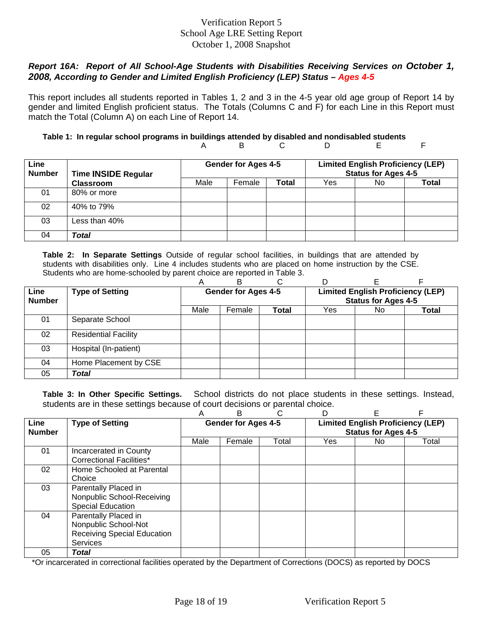## *Report 16A: Report of All School-Age Students with Disabilities Receiving Services on October 1, 2008, According to Gender and Limited English Proficiency (LEP) Status – Ages 4-5*

This report includes all students reported in Tables 1, 2 and 3 in the 4-5 year old age group of Report 14 by gender and limited English proficient status. The Totals (Columns C and F) for each Line in this Report must match the Total (Column A) on each Line of Report 14.

#### **Table 1: In regular school programs in buildings attended by disabled and nondisabled students**  A B C D E F

| Line<br><b>Number</b> | <b>Time INSIDE Regular</b> |      | <b>Gender for Ages 4-5</b> |       | <b>Limited English Proficiency (LEP)</b><br><b>Status for Ages 4-5</b> |     |       |
|-----------------------|----------------------------|------|----------------------------|-------|------------------------------------------------------------------------|-----|-------|
|                       | <b>Classroom</b>           | Male | Female                     | Total | Yes                                                                    | No. | Total |
| 01                    | 80% or more                |      |                            |       |                                                                        |     |       |
| 02                    | 40% to 79%                 |      |                            |       |                                                                        |     |       |
| 03                    | Less than 40%              |      |                            |       |                                                                        |     |       |
| 04                    | Total                      |      |                            |       |                                                                        |     |       |

**Table 2: In Separate Settings** Outside of regular school facilities, in buildings that are attended by students with disabilities only. Line 4 includes students who are placed on home instruction by the CSE. Students who are home-schooled by parent choice are reported in Table 3.

|                       |                             | A                          | в      |       |                                                                        |     |       |  |
|-----------------------|-----------------------------|----------------------------|--------|-------|------------------------------------------------------------------------|-----|-------|--|
| Line<br><b>Number</b> | <b>Type of Setting</b>      | <b>Gender for Ages 4-5</b> |        |       | <b>Limited English Proficiency (LEP)</b><br><b>Status for Ages 4-5</b> |     |       |  |
|                       |                             | Male                       | Female | Total | Yes                                                                    | No. | Total |  |
| 01                    | Separate School             |                            |        |       |                                                                        |     |       |  |
| 02                    | <b>Residential Facility</b> |                            |        |       |                                                                        |     |       |  |
| 03                    | Hospital (In-patient)       |                            |        |       |                                                                        |     |       |  |
| 04                    | Home Placement by CSE       |                            |        |       |                                                                        |     |       |  |
| 05                    | Total                       |                            |        |       |                                                                        |     |       |  |

**Table 3: In Other Specific Settings.** School districts do not place students in these settings. Instead, students are in these settings because of court decisions or parental choice.

|                       |                                                                                                | Α                          | в      |       |                                                                        | F   |       |  |
|-----------------------|------------------------------------------------------------------------------------------------|----------------------------|--------|-------|------------------------------------------------------------------------|-----|-------|--|
| Line<br><b>Number</b> | <b>Type of Setting</b>                                                                         | <b>Gender for Ages 4-5</b> |        |       | <b>Limited English Proficiency (LEP)</b><br><b>Status for Ages 4-5</b> |     |       |  |
|                       |                                                                                                | Male                       | Female | Total | Yes                                                                    | No. | Total |  |
| 01                    | Incarcerated in County<br>Correctional Facilities*                                             |                            |        |       |                                                                        |     |       |  |
| 02                    | Home Schooled at Parental<br>Choice                                                            |                            |        |       |                                                                        |     |       |  |
| 03                    | Parentally Placed in<br>Nonpublic School-Receiving<br><b>Special Education</b>                 |                            |        |       |                                                                        |     |       |  |
| 04                    | Parentally Placed in<br>Nonpublic School-Not<br><b>Receiving Special Education</b><br>Services |                            |        |       |                                                                        |     |       |  |
| 05                    | <b>Total</b>                                                                                   |                            |        |       |                                                                        |     |       |  |